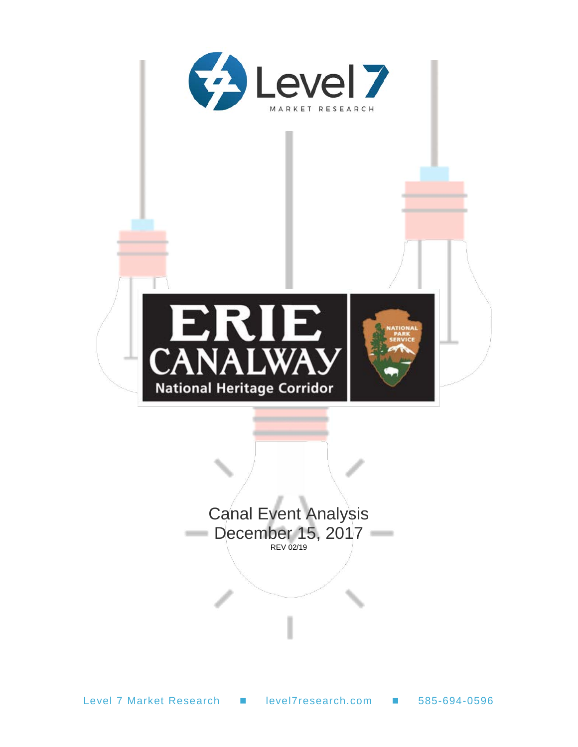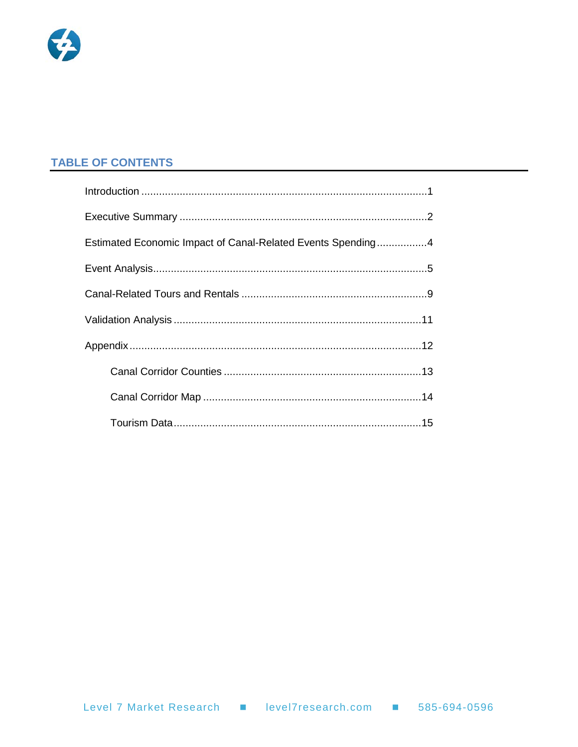

#### **TABLE OF CONTENTS**

| Estimated Economic Impact of Canal-Related Events Spending4 |
|-------------------------------------------------------------|
|                                                             |
|                                                             |
|                                                             |
|                                                             |
|                                                             |
|                                                             |
|                                                             |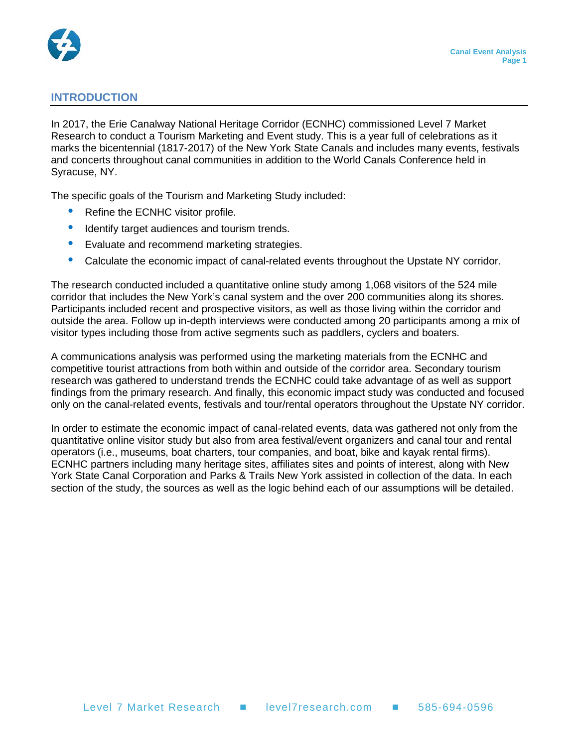

#### <span id="page-2-0"></span>**INTRODUCTION**

In 2017, the Erie Canalway National Heritage Corridor (ECNHC) commissioned Level 7 Market Research to conduct a Tourism Marketing and Event study. This is a year full of celebrations as it marks the bicentennial (1817-2017) of the New York State Canals and includes many events, festivals and concerts throughout canal communities in addition to the World Canals Conference held in Syracuse, NY.

The specific goals of the Tourism and Marketing Study included:

- Refine the ECNHC visitor profile.
- Identify target audiences and tourism trends.
- Evaluate and recommend marketing strategies.
- Calculate the economic impact of canal-related events throughout the Upstate NY corridor.

The research conducted included a quantitative online study among 1,068 visitors of the 524 mile corridor that includes the New York's canal system and the over 200 communities along its shores. Participants included recent and prospective visitors, as well as those living within the corridor and outside the area. Follow up in-depth interviews were conducted among 20 participants among a mix of visitor types including those from active segments such as paddlers, cyclers and boaters.

A communications analysis was performed using the marketing materials from the ECNHC and competitive tourist attractions from both within and outside of the corridor area. Secondary tourism research was gathered to understand trends the ECNHC could take advantage of as well as support findings from the primary research. And finally, this economic impact study was conducted and focused only on the canal-related events, festivals and tour/rental operators throughout the Upstate NY corridor.

In order to estimate the economic impact of canal-related events, data was gathered not only from the quantitative online visitor study but also from area festival/event organizers and canal tour and rental operators (i.e., museums, boat charters, tour companies, and boat, bike and kayak rental firms). ECNHC partners including many heritage sites, affiliates sites and points of interest, along with New York State Canal Corporation and Parks & Trails New York assisted in collection of the data. In each section of the study, the sources as well as the logic behind each of our assumptions will be detailed.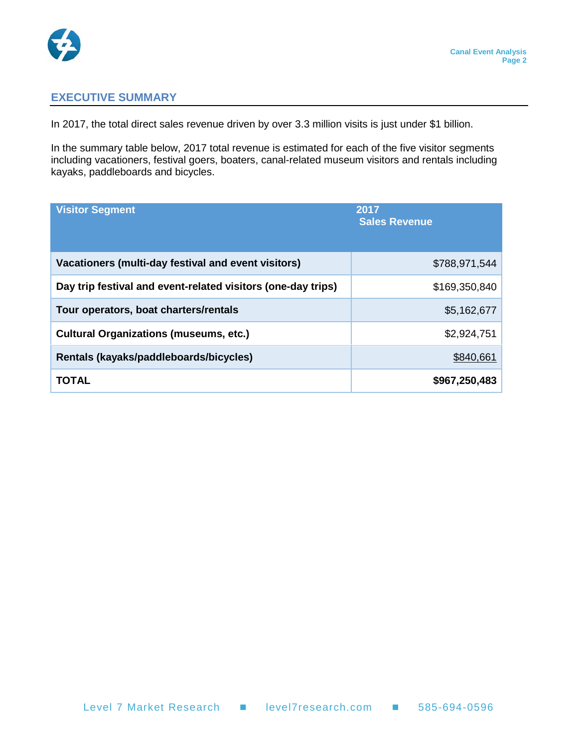

#### <span id="page-3-0"></span>**EXECUTIVE SUMMARY**

In 2017, the total direct sales revenue driven by over 3.3 million visits is just under \$1 billion.

In the summary table below, 2017 total revenue is estimated for each of the five visitor segments including vacationers, festival goers, boaters, canal-related museum visitors and rentals including kayaks, paddleboards and bicycles.

| <b>Visitor Segment</b>                                       | 2017<br><b>Sales Revenue</b> |
|--------------------------------------------------------------|------------------------------|
| Vacationers (multi-day festival and event visitors)          | \$788,971,544                |
| Day trip festival and event-related visitors (one-day trips) | \$169,350,840                |
| Tour operators, boat charters/rentals                        | \$5,162,677                  |
| <b>Cultural Organizations (museums, etc.)</b>                | \$2,924,751                  |
| Rentals (kayaks/paddleboards/bicycles)                       | \$840,661                    |
| <b>TOTAL</b>                                                 | \$967,250,483                |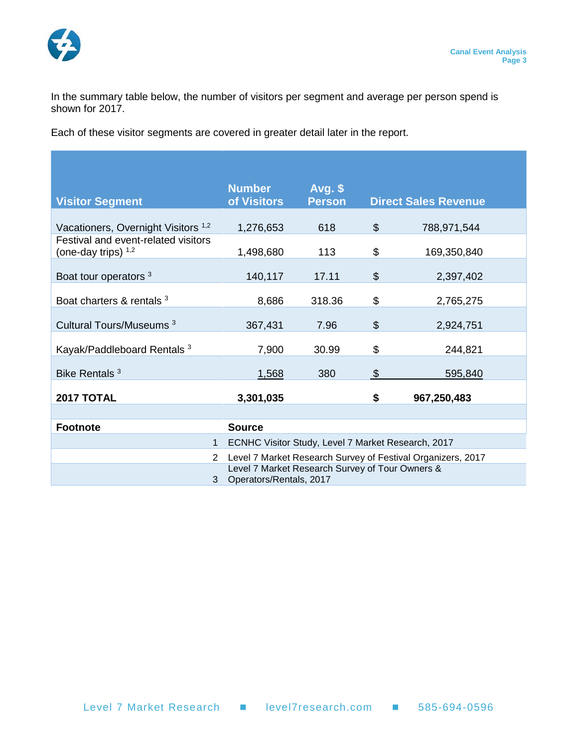

In the summary table below, the number of visitors per segment and average per person spend is shown for 2017.

Each of these visitor segments are covered in greater detail later in the report.

| <b>Visitor Segment</b>                                       | <b>Number</b><br>of Visitors                                               | $Avg.$ \$<br><b>Person</b> |                           | <b>Direct Sales Revenue</b> |
|--------------------------------------------------------------|----------------------------------------------------------------------------|----------------------------|---------------------------|-----------------------------|
| Vacationers, Overnight Visitors <sup>1,2</sup>               | 1,276,653                                                                  | 618                        | $\$\$                     | 788,971,544                 |
| Festival and event-related visitors<br>(one-day trips) $1,2$ | 1,498,680                                                                  | 113                        | \$                        | 169,350,840                 |
| Boat tour operators <sup>3</sup>                             | 140,117                                                                    | 17.11                      | $\boldsymbol{\mathsf{S}}$ | 2,397,402                   |
| Boat charters & rentals 3                                    | 8,686                                                                      | 318.36                     | \$                        | 2,765,275                   |
| Cultural Tours/Museums <sup>3</sup>                          | 367,431                                                                    | 7.96                       | $\boldsymbol{\mathsf{S}}$ | 2,924,751                   |
| Kayak/Paddleboard Rentals <sup>3</sup>                       | 7,900                                                                      | 30.99                      | \$                        | 244,821                     |
| Bike Rentals <sup>3</sup>                                    | 1,568                                                                      | 380                        | $\mathfrak{L}$            | 595,840                     |
| 2017 TOTAL                                                   | \$<br>3,301,035<br>967,250,483                                             |                            |                           |                             |
|                                                              |                                                                            |                            |                           |                             |
| <b>Footnote</b>                                              | <b>Source</b>                                                              |                            |                           |                             |
| $\mathbf{1}$                                                 | ECNHC Visitor Study, Level 7 Market Research, 2017                         |                            |                           |                             |
| 2                                                            | Level 7 Market Research Survey of Festival Organizers, 2017                |                            |                           |                             |
| 3                                                            | Level 7 Market Research Survey of Tour Owners &<br>Operators/Rentals, 2017 |                            |                           |                             |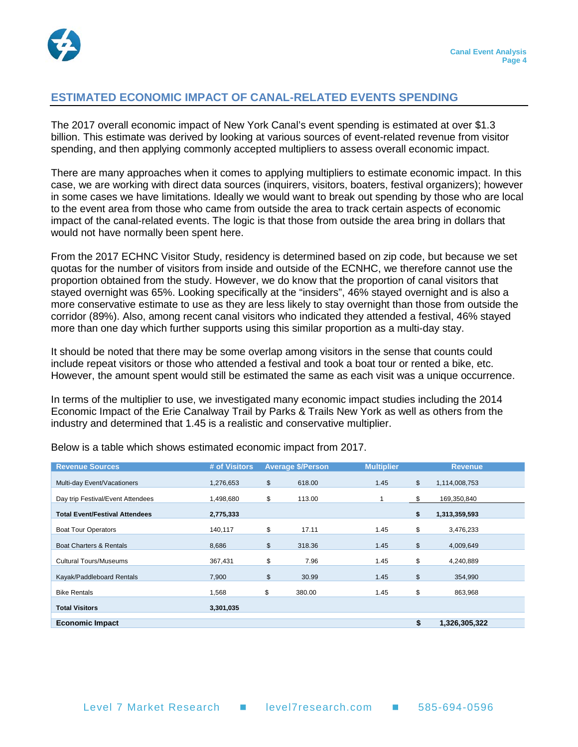

#### <span id="page-5-0"></span>**ESTIMATED ECONOMIC IMPACT OF CANAL-RELATED EVENTS SPENDING**

The 2017 overall economic impact of New York Canal's event spending is estimated at over \$1.3 billion. This estimate was derived by looking at various sources of event-related revenue from visitor spending, and then applying commonly accepted multipliers to assess overall economic impact.

There are many approaches when it comes to applying multipliers to estimate economic impact. In this case, we are working with direct data sources (inquirers, visitors, boaters, festival organizers); however in some cases we have limitations. Ideally we would want to break out spending by those who are local to the event area from those who came from outside the area to track certain aspects of economic impact of the canal-related events. The logic is that those from outside the area bring in dollars that would not have normally been spent here.

From the 2017 ECHNC Visitor Study, residency is determined based on zip code, but because we set quotas for the number of visitors from inside and outside of the ECNHC, we therefore cannot use the proportion obtained from the study. However, we do know that the proportion of canal visitors that stayed overnight was 65%. Looking specifically at the "insiders", 46% stayed overnight and is also a more conservative estimate to use as they are less likely to stay overnight than those from outside the corridor (89%). Also, among recent canal visitors who indicated they attended a festival, 46% stayed more than one day which further supports using this similar proportion as a multi-day stay.

It should be noted that there may be some overlap among visitors in the sense that counts could include repeat visitors or those who attended a festival and took a boat tour or rented a bike, etc. However, the amount spent would still be estimated the same as each visit was a unique occurrence.

In terms of the multiplier to use, we investigated many economic impact studies including the 2014 Economic Impact of the Erie Canalway Trail by Parks & Trails New York as well as others from the industry and determined that 1.45 is a realistic and conservative multiplier.

| <b>Revenue Sources</b>                | # of Visitors | <b>Average \$/Person</b> | <b>Multiplier</b> | <b>Revenue</b>      |
|---------------------------------------|---------------|--------------------------|-------------------|---------------------|
| Multi-day Event/Vacationers           | 1,276,653     | \$<br>618.00             | 1.45              | \$<br>1,114,008,753 |
| Day trip Festival/Event Attendees     | 1,498,680     | \$<br>113.00             |                   | \$<br>169,350,840   |
| <b>Total Event/Festival Attendees</b> | 2,775,333     |                          |                   | \$<br>1,313,359,593 |
| <b>Boat Tour Operators</b>            | 140,117       | \$<br>17.11              | 1.45              | \$<br>3,476,233     |
| <b>Boat Charters &amp; Rentals</b>    | 8,686         | \$<br>318.36             | 1.45              | \$<br>4,009,649     |
| <b>Cultural Tours/Museums</b>         | 367,431       | \$<br>7.96               | 1.45              | \$<br>4,240,889     |
| Kayak/Paddleboard Rentals             | 7,900         | \$<br>30.99              | 1.45              | \$<br>354,990       |
| <b>Bike Rentals</b>                   | 1,568         | \$<br>380.00             | 1.45              | \$<br>863,968       |
| <b>Total Visitors</b>                 | 3,301,035     |                          |                   |                     |
| <b>Economic Impact</b>                |               |                          |                   | \$<br>1,326,305,322 |

Below is a table which shows estimated economic impact from 2017.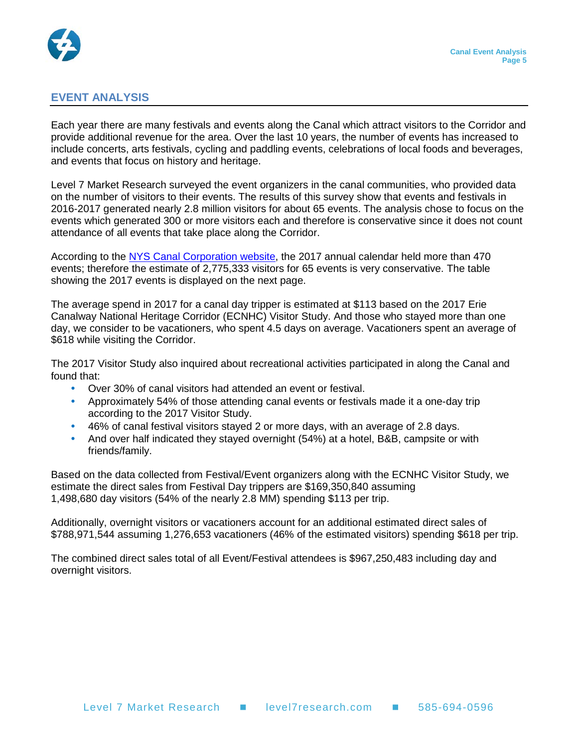

#### <span id="page-6-0"></span>**EVENT ANALYSIS**

Each year there are many festivals and events along the Canal which attract visitors to the Corridor and provide additional revenue for the area. Over the last 10 years, the number of events has increased to include concerts, arts festivals, cycling and paddling events, celebrations of local foods and beverages, and events that focus on history and heritage.

Level 7 Market Research surveyed the event organizers in the canal communities, who provided data on the number of visitors to their events. The results of this survey show that events and festivals in 2016-2017 generated nearly 2.8 million visitors for about 65 events. The analysis chose to focus on the events which generated 300 or more visitors each and therefore is conservative since it does not count attendance of all events that take place along the Corridor.

According to the [NYS Canal Corporation website,](http://www.canals.ny.gov/wwwapps/news/events/calendar/calendar.aspx) the 2017 annual calendar held more than 470 events; therefore the estimate of 2,775,333 visitors for 65 events is very conservative. The table showing the 2017 events is displayed on the next page.

The average spend in 2017 for a canal day tripper is estimated at \$113 based on the 2017 Erie Canalway National Heritage Corridor (ECNHC) Visitor Study. And those who stayed more than one day, we consider to be vacationers, who spent 4.5 days on average. Vacationers spent an average of \$618 while visiting the Corridor.

The 2017 Visitor Study also inquired about recreational activities participated in along the Canal and found that:

- Over 30% of canal visitors had attended an event or festival.
- Approximately 54% of those attending canal events or festivals made it a one-day trip according to the 2017 Visitor Study.
- 46% of canal festival visitors stayed 2 or more days, with an average of 2.8 days.
- And over half indicated they stayed overnight (54%) at a hotel, B&B, campsite or with friends/family.

Based on the data collected from Festival/Event organizers along with the ECNHC Visitor Study, we estimate the direct sales from Festival Day trippers are \$169,350,840 assuming 1,498,680 day visitors (54% of the nearly 2.8 MM) spending \$113 per trip.

Additionally, overnight visitors or vacationers account for an additional estimated direct sales of \$788,971,544 assuming 1,276,653 vacationers (46% of the estimated visitors) spending \$618 per trip.

The combined direct sales total of all Event/Festival attendees is \$967,250,483 including day and overnight visitors.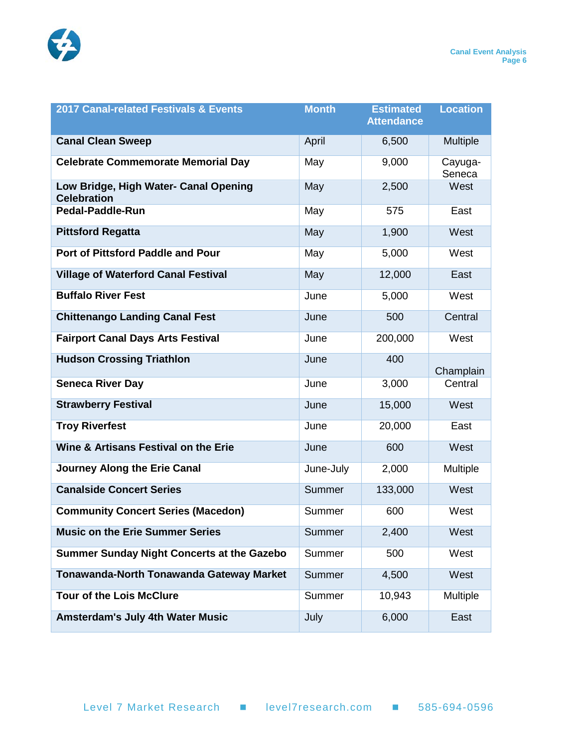

| 2017 Canal-related Festivals & Events                       | <b>Month</b> | <b>Estimated</b><br><b>Attendance</b> | <b>Location</b>   |
|-------------------------------------------------------------|--------------|---------------------------------------|-------------------|
| <b>Canal Clean Sweep</b>                                    | April        | 6,500                                 | Multiple          |
| <b>Celebrate Commemorate Memorial Day</b>                   | May          | 9,000                                 | Cayuga-<br>Seneca |
| Low Bridge, High Water- Canal Opening<br><b>Celebration</b> | May          | 2,500                                 | West              |
| <b>Pedal-Paddle-Run</b>                                     | May          | 575                                   | East              |
| <b>Pittsford Regatta</b>                                    | May          | 1,900                                 | West              |
| Port of Pittsford Paddle and Pour                           | May          | 5,000                                 | West              |
| <b>Village of Waterford Canal Festival</b>                  | May          | 12,000                                | East              |
| <b>Buffalo River Fest</b>                                   | June         | 5,000                                 | West              |
| <b>Chittenango Landing Canal Fest</b>                       | June         | 500                                   | Central           |
| <b>Fairport Canal Days Arts Festival</b>                    | June         | 200,000                               | West              |
| <b>Hudson Crossing Triathlon</b>                            | June         | 400                                   | Champlain         |
| <b>Seneca River Day</b>                                     | June         | 3,000                                 | Central           |
| <b>Strawberry Festival</b>                                  | June         | 15,000                                | West              |
| <b>Troy Riverfest</b>                                       | June         | 20,000                                | East              |
| Wine & Artisans Festival on the Erie                        | June         | 600                                   | West              |
| <b>Journey Along the Erie Canal</b>                         | June-July    | 2,000                                 | Multiple          |
| <b>Canalside Concert Series</b>                             | Summer       | 133,000                               | West              |
| <b>Community Concert Series (Macedon)</b>                   | Summer       | 600                                   | West              |
| <b>Music on the Erie Summer Series</b>                      | Summer       | 2,400                                 | West              |
| <b>Summer Sunday Night Concerts at the Gazebo</b>           | Summer       | 500                                   | West              |
| <b>Tonawanda-North Tonawanda Gateway Market</b>             | Summer       | 4,500                                 | West              |
| <b>Tour of the Lois McClure</b>                             | Summer       | 10,943                                | <b>Multiple</b>   |
| <b>Amsterdam's July 4th Water Music</b>                     | July         | 6,000                                 | East              |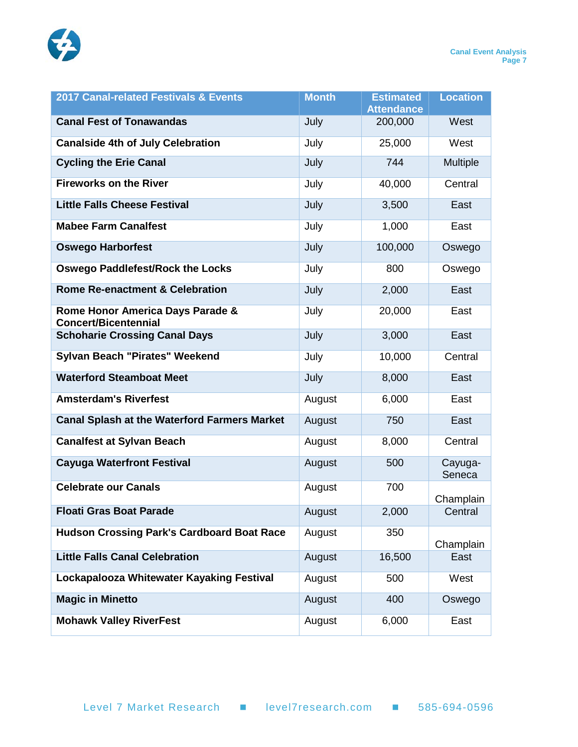

| 2017 Canal-related Festivals & Events                           | <b>Month</b> | <b>Estimated</b><br><b>Attendance</b> | <b>Location</b>   |
|-----------------------------------------------------------------|--------------|---------------------------------------|-------------------|
| <b>Canal Fest of Tonawandas</b>                                 | July         | 200,000                               | West              |
| <b>Canalside 4th of July Celebration</b>                        | July         | 25,000                                | West              |
| <b>Cycling the Erie Canal</b>                                   | July         | 744                                   | Multiple          |
| <b>Fireworks on the River</b>                                   | July         | 40,000                                | Central           |
| <b>Little Falls Cheese Festival</b>                             | July         | 3,500                                 | East              |
| <b>Mabee Farm Canalfest</b>                                     | July         | 1,000                                 | East              |
| <b>Oswego Harborfest</b>                                        | July         | 100,000                               | Oswego            |
| <b>Oswego Paddlefest/Rock the Locks</b>                         | July         | 800                                   | Oswego            |
| <b>Rome Re-enactment &amp; Celebration</b>                      | July         | 2,000                                 | East              |
| Rome Honor America Days Parade &<br><b>Concert/Bicentennial</b> | July         | 20,000                                | East              |
| <b>Schoharie Crossing Canal Days</b>                            | July         | 3,000                                 | East              |
| Sylvan Beach "Pirates" Weekend                                  | July         | 10,000                                | Central           |
| <b>Waterford Steamboat Meet</b>                                 | July         | 8,000                                 | East              |
| <b>Amsterdam's Riverfest</b>                                    | August       | 6,000                                 | East              |
| <b>Canal Splash at the Waterford Farmers Market</b>             | August       | 750                                   | East              |
| <b>Canalfest at Sylvan Beach</b>                                | August       | 8,000                                 | Central           |
| <b>Cayuga Waterfront Festival</b>                               | August       | 500                                   | Cayuga-<br>Seneca |
| <b>Celebrate our Canals</b>                                     | August       | 700                                   | Champlain         |
| <b>Floati Gras Boat Parade</b>                                  | August       | 2,000                                 | Central           |
| <b>Hudson Crossing Park's Cardboard Boat Race</b>               | August       | 350                                   | Champlain         |
| <b>Little Falls Canal Celebration</b>                           | August       | 16,500                                | East              |
| Lockapalooza Whitewater Kayaking Festival                       | August       | 500                                   | West              |
| <b>Magic in Minetto</b>                                         | August       | 400                                   | Oswego            |
| <b>Mohawk Valley RiverFest</b>                                  | August       | 6,000                                 | East              |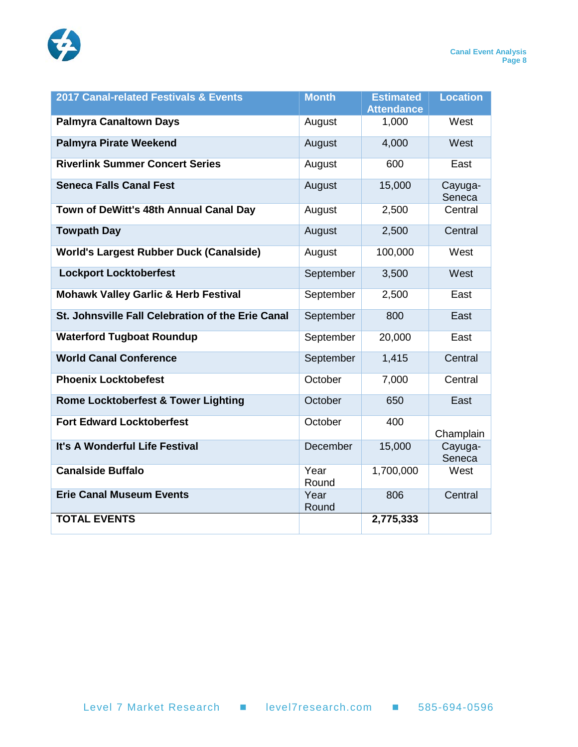

| 2017 Canal-related Festivals & Events             | <b>Month</b>  | <b>Estimated</b><br><b>Attendance</b> | <b>Location</b>   |
|---------------------------------------------------|---------------|---------------------------------------|-------------------|
| <b>Palmyra Canaltown Days</b>                     | August        | 1,000                                 | West              |
| <b>Palmyra Pirate Weekend</b>                     | August        | 4,000                                 | West              |
| <b>Riverlink Summer Concert Series</b>            | August        | 600                                   | East              |
| <b>Seneca Falls Canal Fest</b>                    | August        | 15,000                                | Cayuga-<br>Seneca |
| Town of DeWitt's 48th Annual Canal Day            | August        | 2,500                                 | Central           |
| <b>Towpath Day</b>                                | August        | 2,500                                 | Central           |
| <b>World's Largest Rubber Duck (Canalside)</b>    | August        | 100,000                               | West              |
| <b>Lockport Locktoberfest</b>                     | September     | 3,500                                 | West              |
| <b>Mohawk Valley Garlic &amp; Herb Festival</b>   | September     | 2,500                                 | East              |
| St. Johnsville Fall Celebration of the Erie Canal | September     | 800                                   | East              |
| <b>Waterford Tugboat Roundup</b>                  | September     | 20,000                                | East              |
| <b>World Canal Conference</b>                     | September     | 1,415                                 | Central           |
| <b>Phoenix Locktobefest</b>                       | October       | 7,000                                 | Central           |
| <b>Rome Locktoberfest &amp; Tower Lighting</b>    | October       | 650                                   | East              |
| <b>Fort Edward Locktoberfest</b>                  | October       | 400                                   | Champlain         |
| It's A Wonderful Life Festival                    | December      | 15,000                                | Cayuga-<br>Seneca |
| <b>Canalside Buffalo</b>                          | Year<br>Round | 1,700,000                             | West              |
| <b>Erie Canal Museum Events</b>                   | Year<br>Round | 806                                   | Central           |
| <b>TOTAL EVENTS</b>                               |               | 2,775,333                             |                   |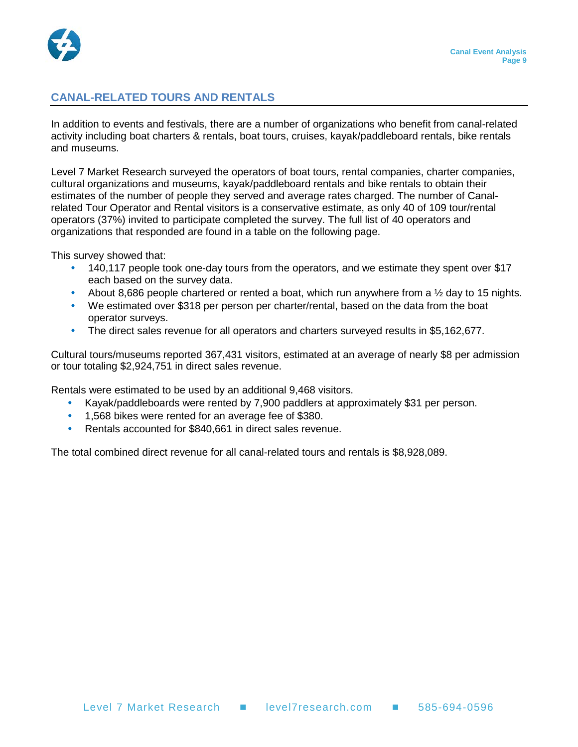

#### <span id="page-10-0"></span>**CANAL-RELATED TOURS AND RENTALS**

In addition to events and festivals, there are a number of organizations who benefit from canal-related activity including boat charters & rentals, boat tours, cruises, kayak/paddleboard rentals, bike rentals and museums.

Level 7 Market Research surveyed the operators of boat tours, rental companies, charter companies, cultural organizations and museums, kayak/paddleboard rentals and bike rentals to obtain their estimates of the number of people they served and average rates charged. The number of Canalrelated Tour Operator and Rental visitors is a conservative estimate, as only 40 of 109 tour/rental operators (37%) invited to participate completed the survey. The full list of 40 operators and organizations that responded are found in a table on the following page.

This survey showed that:

- 140,117 people took one-day tours from the operators, and we estimate they spent over \$17 each based on the survey data.
- About 8,686 people chartered or rented a boat, which run anywhere from a  $\frac{1}{2}$  day to 15 nights.
- We estimated over \$318 per person per charter/rental, based on the data from the boat operator surveys.
- The direct sales revenue for all operators and charters surveyed results in \$5,162,677.

Cultural tours/museums reported 367,431 visitors, estimated at an average of nearly \$8 per admission or tour totaling \$2,924,751 in direct sales revenue.

Rentals were estimated to be used by an additional 9,468 visitors.

- Kayak/paddleboards were rented by 7,900 paddlers at approximately \$31 per person.
- 1,568 bikes were rented for an average fee of \$380.
- Rentals accounted for \$840,661 in direct sales revenue.

The total combined direct revenue for all canal-related tours and rentals is \$8,928,089.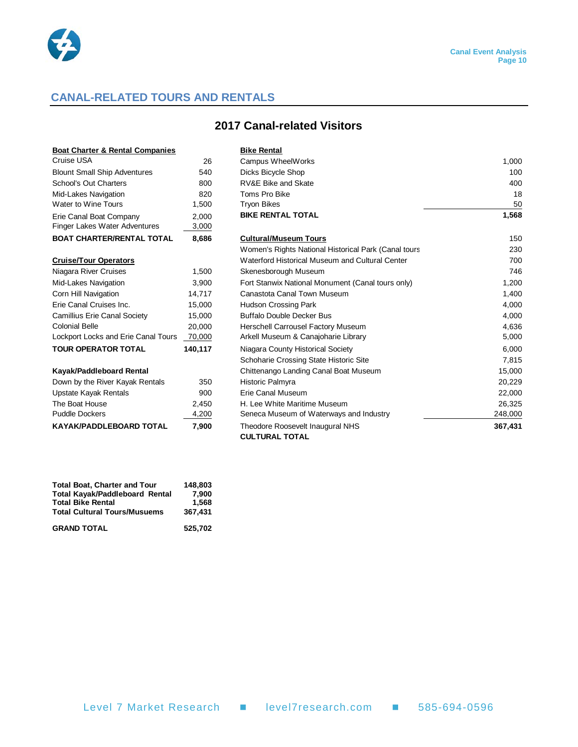

#### **CANAL-RELATED TOURS AND RENTALS**

#### **2017 Canal-related Visitors**

| <b>Boat Charter &amp; Rental Companies</b>               |                | <b>Bike Rental</b>                                   |        |
|----------------------------------------------------------|----------------|------------------------------------------------------|--------|
| Cruise USA                                               | 26             | Campus WheelWorks                                    | 1,000  |
| <b>Blount Small Ship Adventures</b>                      | 540            | Dicks Bicycle Shop                                   | 100    |
| School's Out Charters                                    | 800            | RV&E Bike and Skate                                  | 400    |
| Mid-Lakes Navigation                                     | 820            | Toms Pro Bike                                        | 18     |
| Water to Wine Tours                                      | 1,500          | <b>Tryon Bikes</b>                                   | 50     |
| Erie Canal Boat Company<br>Finger Lakes Water Adventures | 2,000<br>3,000 | <b>BIKE RENTAL TOTAL</b>                             | 1,568  |
| <b>BOAT CHARTER/RENTAL TOTAL</b>                         | 8,686          | <b>Cultural/Museum Tours</b>                         | 150    |
|                                                          |                | Women's Rights National Historical Park (Canal tours | 230    |
| <b>Cruise/Tour Operators</b>                             |                | Waterford Historical Museum and Cultural Center      | 700    |
| Niagara River Cruises                                    | 1,500          | Skenesborough Museum                                 | 746    |
| Mid-Lakes Navigation                                     | 3,900          | Fort Stanwix National Monument (Canal tours only)    | 1,200  |
| Corn Hill Navigation                                     | 14,717         | Canastota Canal Town Museum                          | 1,400  |
| Erie Canal Cruises Inc.                                  | 15,000         | <b>Hudson Crossing Park</b>                          | 4,000  |
| <b>Camillius Erie Canal Society</b>                      | 15,000         | <b>Buffalo Double Decker Bus</b>                     | 4,000  |
| <b>Colonial Belle</b>                                    | 20,000         | Herschell Carrousel Factory Museum                   | 4,636  |
| Lockport Locks and Erie Canal Tours                      | 70,000         | Arkell Museum & Canajoharie Library                  | 5,000  |
| <b>TOUR OPERATOR TOTAL</b>                               | 140,117        | Niagara County Historical Society                    | 6,000  |
|                                                          |                | Schoharie Crossing State Historic Site               | 7,815  |
| Kayak/Paddleboard Rental                                 |                | Chittenango Landing Canal Boat Museum                | 15,000 |
| Down by the River Kayak Rentals                          | 350            | Historic Palmyra                                     | 20,229 |
| Upstate Kayak Rentals                                    | 900            | Erie Canal Museum                                    | 22,000 |

|                                     |         | Women's Rights National Historical Park (Canal tours | 230     |
|-------------------------------------|---------|------------------------------------------------------|---------|
| <b>Cruise/Tour Operators</b>        |         | Waterford Historical Museum and Cultural Center      | 700     |
| Niagara River Cruises               | 1,500   | Skenesborough Museum                                 | 746     |
| Mid-Lakes Navigation                | 3,900   | Fort Stanwix National Monument (Canal tours only)    | 1,200   |
| Corn Hill Navigation                | 14,717  | Canastota Canal Town Museum                          | 1,400   |
| Erie Canal Cruises Inc.             | 15,000  | Hudson Crossing Park                                 | 4,000   |
| Camillius Erie Canal Society        | 15,000  | <b>Buffalo Double Decker Bus</b>                     | 4,000   |
| Colonial Belle                      | 20.000  | Herschell Carrousel Factory Museum                   | 4,636   |
| Lockport Locks and Erie Canal Tours | 70,000  | Arkell Museum & Canajoharie Library                  | 5,000   |
| <b>TOUR OPERATOR TOTAL</b>          | 140,117 | Niagara County Historical Society                    | 6,000   |
|                                     |         | Schoharie Crossing State Historic Site               | 7,815   |
| Kayak/Paddleboard Rental            |         | Chittenango Landing Canal Boat Museum                | 15,000  |
| Down by the River Kayak Rentals     | 350     | Historic Palmyra                                     | 20,229  |
| Upstate Kayak Rentals               | 900     | Erie Canal Museum                                    | 22,000  |
| The Boat House                      | 2,450   | H. Lee White Maritime Museum                         | 26,325  |
| <b>Puddle Dockers</b>               | 4,200   | Seneca Museum of Waterways and Industry              | 248,000 |
| <b>KAYAK/PADDLEBOARD TOTAL</b>      | 7,900   | Theodore Roosevelt Inaugural NHS                     | 367,431 |

| <b>Total Boat, Charter and Tour</b>   | 148.803 |
|---------------------------------------|---------|
| <b>Total Kayak/Paddleboard Rental</b> | 7.900   |
| <b>Total Bike Rental</b>              | 1.568   |
| <b>Total Cultural Tours/Musuems</b>   | 367.431 |
| <b>GRAND TOTAL</b>                    | 525.702 |

**CULTURAL TOTAL**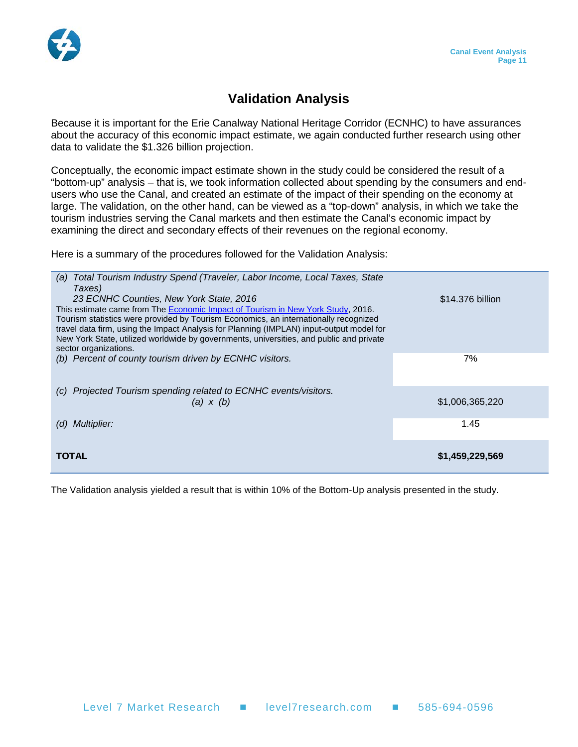### **Validation Analysis**

<span id="page-12-0"></span>Because it is important for the Erie Canalway National Heritage Corridor (ECNHC) to have assurances about the accuracy of this economic impact estimate, we again conducted further research using other data to validate the \$1.326 billion projection.

Conceptually, the economic impact estimate shown in the study could be considered the result of a "bottom-up" analysis – that is, we took information collected about spending by the consumers and endusers who use the Canal, and created an estimate of the impact of their spending on the economy at large. The validation, on the other hand, can be viewed as a "top-down" analysis, in which we take the tourism industries serving the Canal markets and then estimate the Canal's economic impact by examining the direct and secondary effects of their revenues on the regional economy.

Here is a summary of the procedures followed for the Validation Analysis:

| (a) Total Tourism Industry Spend (Traveler, Labor Income, Local Taxes, State             |                  |
|------------------------------------------------------------------------------------------|------------------|
| Taxes)                                                                                   |                  |
| 23 ECNHC Counties, New York State, 2016                                                  | \$14,376 billion |
| This estimate came from The Economic Impact of Tourism in New York Study, 2016.          |                  |
| Tourism statistics were provided by Tourism Economics, an internationally recognized     |                  |
| travel data firm, using the Impact Analysis for Planning (IMPLAN) input-output model for |                  |
| New York State, utilized worldwide by governments, universities, and public and private  |                  |
| sector organizations.                                                                    |                  |
| (b) Percent of county tourism driven by ECNHC visitors.                                  | 7%               |
|                                                                                          |                  |
|                                                                                          |                  |
| Projected Tourism spending related to ECNHC events/visitors.<br>(C)                      |                  |
| (a) $x(b)$                                                                               | \$1,006,365,220  |
|                                                                                          |                  |
| <b>Multiplier:</b><br>(d)                                                                | 1.45             |
|                                                                                          |                  |
|                                                                                          |                  |
| TOTAL                                                                                    | \$1,459,229,569  |
|                                                                                          |                  |

The Validation analysis yielded a result that is within 10% of the Bottom-Up analysis presented in the study.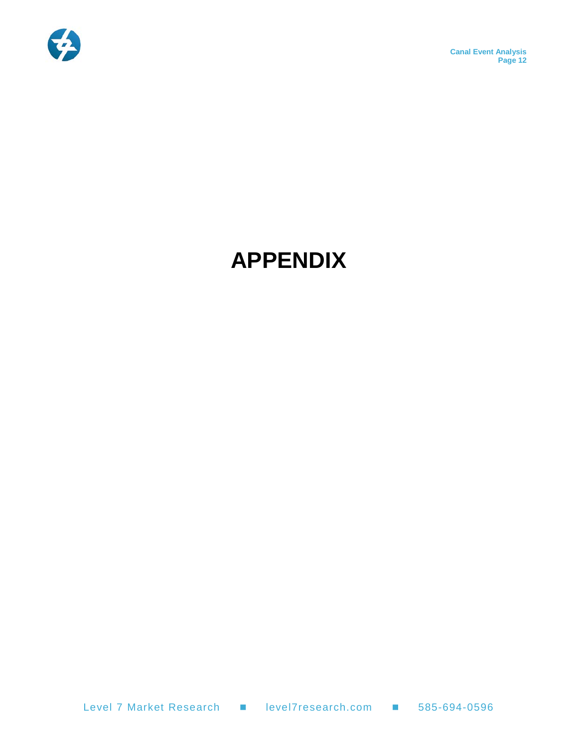

**Canal Event Analysis Page 12**

# <span id="page-13-0"></span>**APPENDIX**

Level 7 Market Research 
■ level7research.com ■ 585-694-0596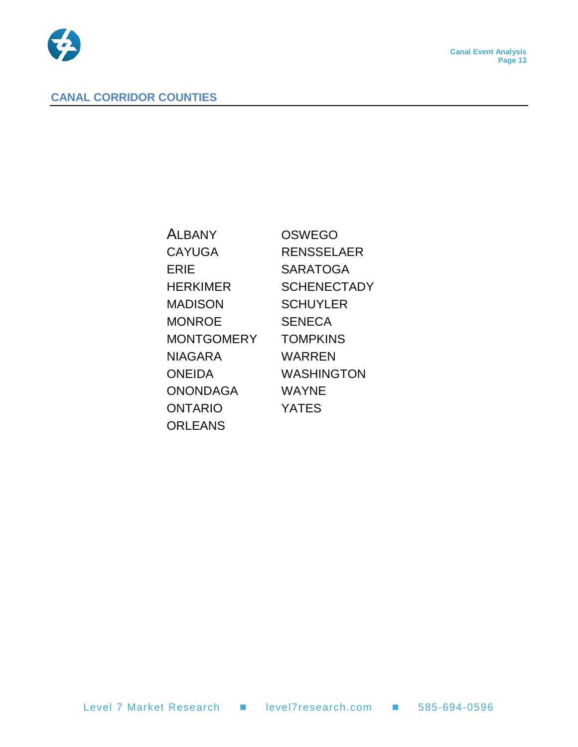

#### <span id="page-14-0"></span>**CANAL CORRIDOR COUNTIES**

| <b>ALBANY</b>     | OSWEGO             |
|-------------------|--------------------|
| <b>CAYUGA</b>     | <b>RENSSELAER</b>  |
| ERIE              | <b>SARATOGA</b>    |
| <b>HERKIMER</b>   | <b>SCHENECTADY</b> |
| <b>MADISON</b>    | <b>SCHUYLER</b>    |
| <b>MONROE</b>     | <b>SENECA</b>      |
| <b>MONTGOMERY</b> | <b>TOMPKINS</b>    |
| <b>NIAGARA</b>    | WARREN             |
| <b>ONEIDA</b>     | <b>WASHINGTON</b>  |
| <b>ONONDAGA</b>   | WAYNE              |
| <b>ONTARIO</b>    | <b>YATES</b>       |
| <b>ORLEANS</b>    |                    |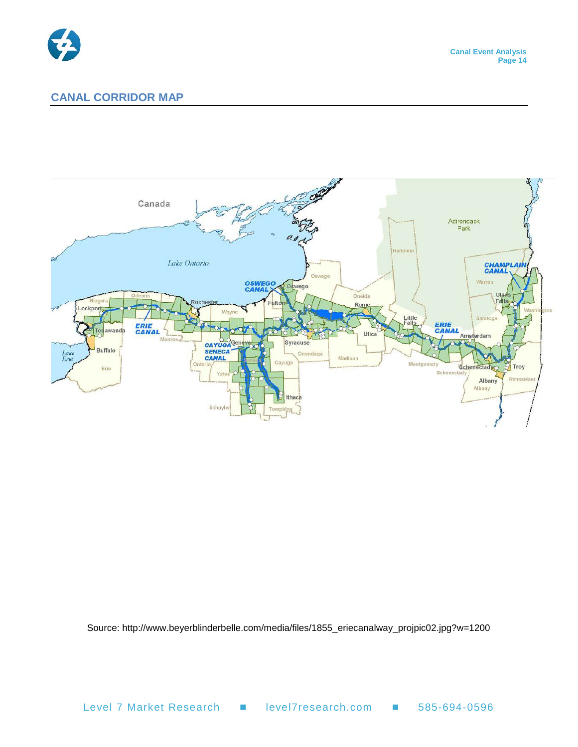

#### <span id="page-15-0"></span>**CANAL CORRIDOR MAP**



Source: http://www.beyerblinderbelle.com/media/files/1855\_eriecanalway\_projpic02.jpg?w=1200